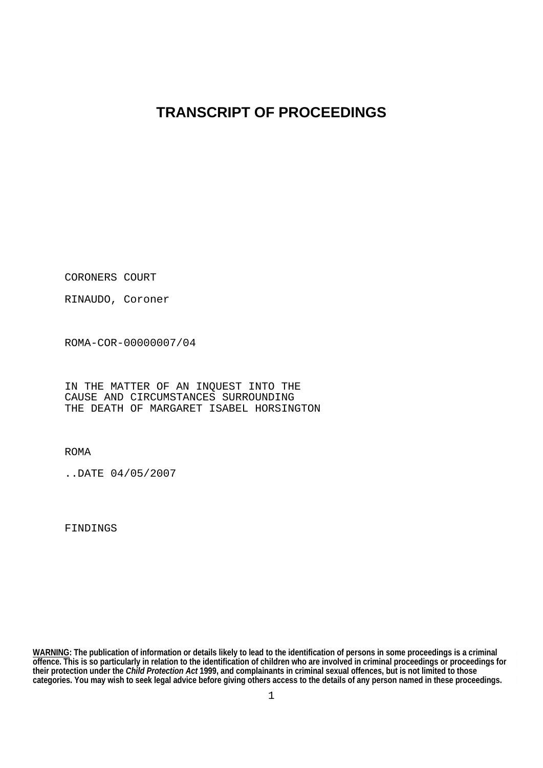## **TRANSCRIPT OF PROCEEDINGS**

CORONERS COURT

RINAUDO, Coroner

ROMA-COR-00000007/04

IN THE MATTER OF AN INQUEST INTO THE CAUSE AND CIRCUMSTANCES SURROUNDING THE DEATH OF MARGARET ISABEL HORSINGTON

ROMA

..DATE 04/05/2007

**FINDINGS** 

**WARNING: The publication of information or details likely to lead to the identification of persons in some proceedings is a criminal offence. This is so particularly in relation to the identification of children who are involved in criminal proceedings or proceedings for their protection under the** *Child Protection Act* **1999, and complainants in criminal sexual offences, but is not limited to those categories. You may wish to seek legal advice before giving others access to the details of any person named in these proceedings.**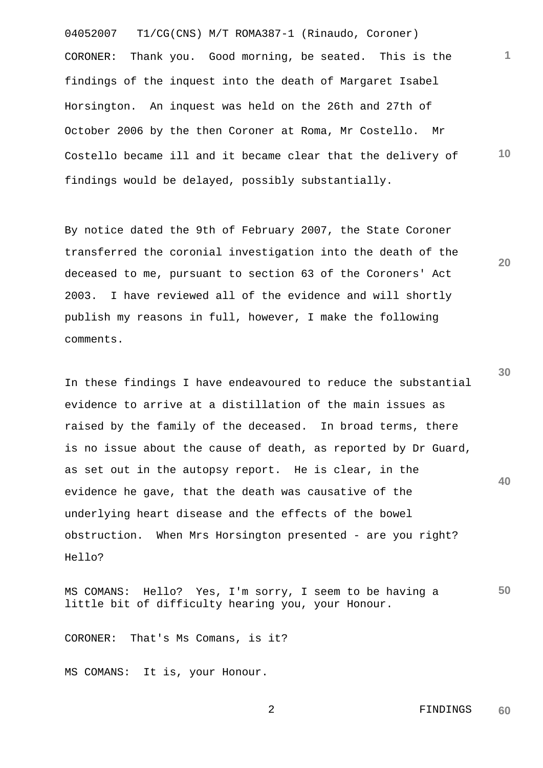04052007 T1/CG(CNS) M/T ROMA387-1 (Rinaudo, Coroner) **1 10** CORONER: Thank you. Good morning, be seated. This is the findings of the inquest into the death of Margaret Isabel Horsington. An inquest was held on the 26th and 27th of October 2006 by the then Coroner at Roma, Mr Costello. Mr Costello became ill and it became clear that the delivery of findings would be delayed, possibly substantially.

By notice dated the 9th of February 2007, the State Coroner transferred the coronial investigation into the death of the deceased to me, pursuant to section 63 of the Coroners' Act 2003. I have reviewed all of the evidence and will shortly publish my reasons in full, however, I make the following comments.

**40** In these findings I have endeavoured to reduce the substantial evidence to arrive at a distillation of the main issues as raised by the family of the deceased. In broad terms, there is no issue about the cause of death, as reported by Dr Guard, as set out in the autopsy report. He is clear, in the evidence he gave, that the death was causative of the underlying heart disease and the effects of the bowel obstruction. When Mrs Horsington presented - are you right? Hello?

**50** MS COMANS: Hello? Yes, I'm sorry, I seem to be having a little bit of difficulty hearing you, your Honour.

CORONER: That's Ms Comans, is it?

MS COMANS: It is, your Honour.

**20**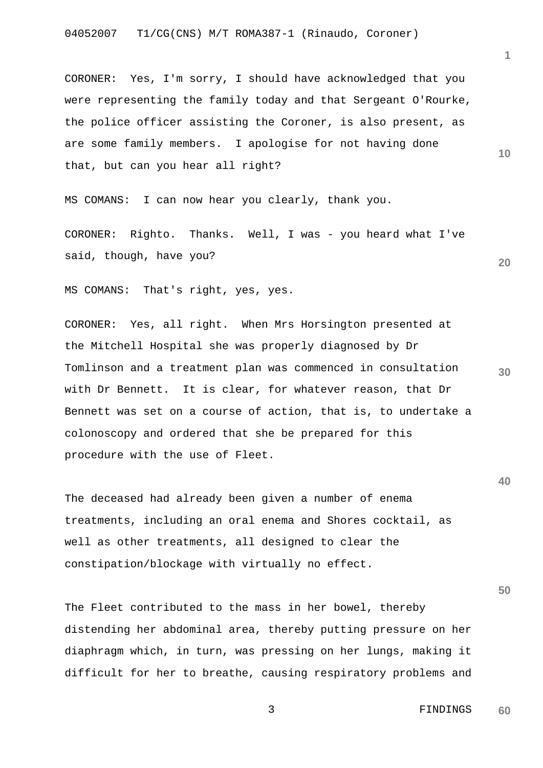CORONER: Yes, I'm sorry, I should have acknowledged that you were representing the family today and that Sergeant O'Rourke, the police officer assisting the Coroner, is also present, as are some family members. I apologise for not having done that, but can you hear all right?

MS COMANS: I can now hear you clearly, thank you.

CORONER: Righto. Thanks. Well, I was - you heard what I've said, though, have you?

MS COMANS: That's right, yes, yes.

**30** CORONER: Yes, all right. When Mrs Horsington presented at the Mitchell Hospital she was properly diagnosed by Dr Tomlinson and a treatment plan was commenced in consultation with Dr Bennett. It is clear, for whatever reason, that Dr Bennett was set on a course of action, that is, to undertake a colonoscopy and ordered that she be prepared for this procedure with the use of Fleet.

The deceased had already been given a number of enema treatments, including an oral enema and Shores cocktail, as well as other treatments, all designed to clear the constipation/blockage with virtually no effect.

The Fleet contributed to the mass in her bowel, thereby distending her abdominal area, thereby putting pressure on her diaphragm which, in turn, was pressing on her lungs, making it difficult for her to breathe, causing respiratory problems and **1**

**10**

**20**

**40**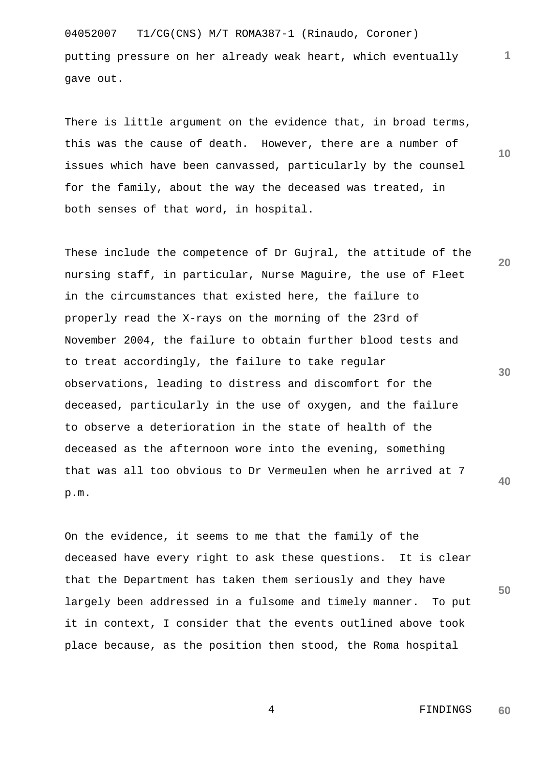04052007 T1/CG(CNS) M/T ROMA387-1 (Rinaudo, Coroner) putting pressure on her already weak heart, which eventually gave out.

There is little argument on the evidence that, in broad terms, this was the cause of death. However, there are a number of issues which have been canvassed, particularly by the counsel for the family, about the way the deceased was treated, in both senses of that word, in hospital.

**20 30 40** These include the competence of Dr Gujral, the attitude of the nursing staff, in particular, Nurse Maguire, the use of Fleet in the circumstances that existed here, the failure to properly read the X-rays on the morning of the 23rd of November 2004, the failure to obtain further blood tests and to treat accordingly, the failure to take regular observations, leading to distress and discomfort for the deceased, particularly in the use of oxygen, and the failure to observe a deterioration in the state of health of the deceased as the afternoon wore into the evening, something that was all too obvious to Dr Vermeulen when he arrived at 7 p.m.

On the evidence, it seems to me that the family of the deceased have every right to ask these questions. It is clear that the Department has taken them seriously and they have largely been addressed in a fulsome and timely manner. To put it in context, I consider that the events outlined above took place because, as the position then stood, the Roma hospital

> 4 FINDINGS **60**

**50**

**1**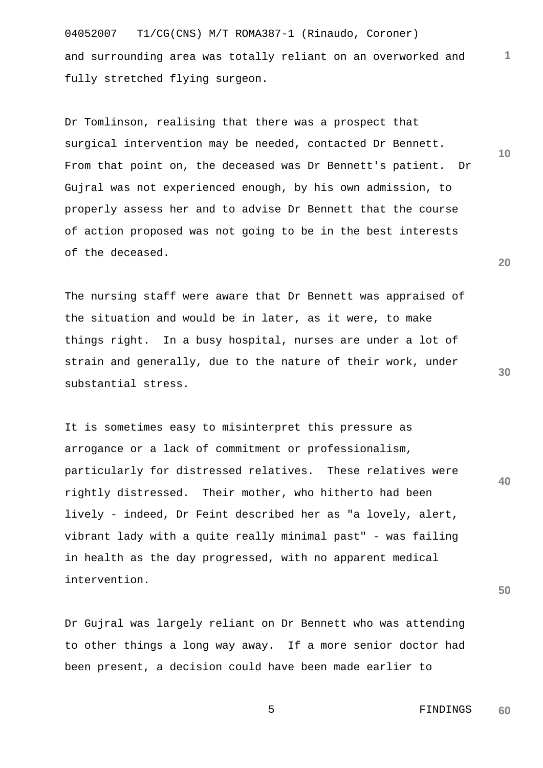04052007 T1/CG(CNS) M/T ROMA387-1 (Rinaudo, Coroner) and surrounding area was totally reliant on an overworked and fully stretched flying surgeon.

Dr Tomlinson, realising that there was a prospect that surgical intervention may be needed, contacted Dr Bennett. From that point on, the deceased was Dr Bennett's patient. Dr Gujral was not experienced enough, by his own admission, to properly assess her and to advise Dr Bennett that the course of action proposed was not going to be in the best interests of the deceased.

The nursing staff were aware that Dr Bennett was appraised of the situation and would be in later, as it were, to make things right. In a busy hospital, nurses are under a lot of strain and generally, due to the nature of their work, under substantial stress.

It is sometimes easy to misinterpret this pressure as arrogance or a lack of commitment or professionalism, particularly for distressed relatives. These relatives were rightly distressed. Their mother, who hitherto had been lively - indeed, Dr Feint described her as "a lovely, alert, vibrant lady with a quite really minimal past" - was failing in health as the day progressed, with no apparent medical intervention.

Dr Gujral was largely reliant on Dr Bennett who was attending to other things a long way away. If a more senior doctor had been present, a decision could have been made earlier to

**20**

**1**

**10**

**30**

**40**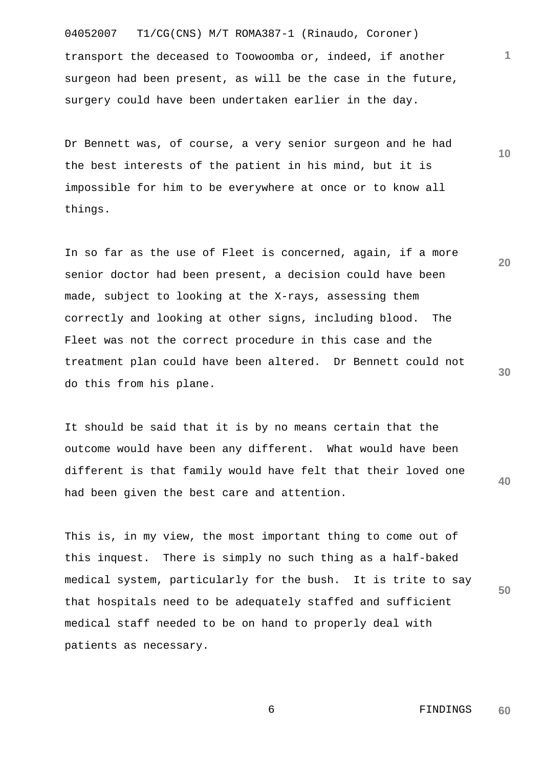04052007 T1/CG(CNS) M/T ROMA387-1 (Rinaudo, Coroner) transport the deceased to Toowoomba or, indeed, if another surgeon had been present, as will be the case in the future, surgery could have been undertaken earlier in the day.

Dr Bennett was, of course, a very senior surgeon and he had the best interests of the patient in his mind, but it is impossible for him to be everywhere at once or to know all things.

In so far as the use of Fleet is concerned, again, if a more senior doctor had been present, a decision could have been made, subject to looking at the X-rays, assessing them correctly and looking at other signs, including blood. The Fleet was not the correct procedure in this case and the treatment plan could have been altered. Dr Bennett could not do this from his plane.

**40** It should be said that it is by no means certain that the outcome would have been any different. What would have been different is that family would have felt that their loved one had been given the best care and attention.

**50** This is, in my view, the most important thing to come out of this inquest. There is simply no such thing as a half-baked medical system, particularly for the bush. It is trite to say that hospitals need to be adequately staffed and sufficient medical staff needed to be on hand to properly deal with patients as necessary.

**10**

**1**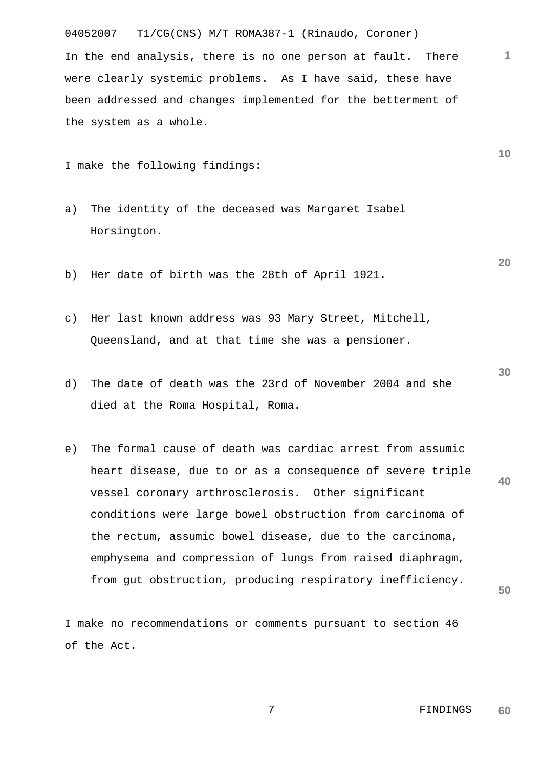04052007 T1/CG(CNS) M/T ROMA387-1 (Rinaudo, Coroner) In the end analysis, there is no one person at fault. There were clearly systemic problems. As I have said, these have been addressed and changes implemented for the betterment of the system as a whole.

I make the following findings:

- a) The identity of the deceased was Margaret Isabel Horsington.
- b) Her date of birth was the 28th of April 1921.
- c) Her last known address was 93 Mary Street, Mitchell, Queensland, and at that time she was a pensioner.
- d) The date of death was the 23rd of November 2004 and she died at the Roma Hospital, Roma.
- **40 50** e) The formal cause of death was cardiac arrest from assumic heart disease, due to or as a consequence of severe triple vessel coronary arthrosclerosis. Other significant conditions were large bowel obstruction from carcinoma of the rectum, assumic bowel disease, due to the carcinoma, emphysema and compression of lungs from raised diaphragm, from gut obstruction, producing respiratory inefficiency.

I make no recommendations or comments pursuant to section 46 of the Act.

**30**

**20**

**10**